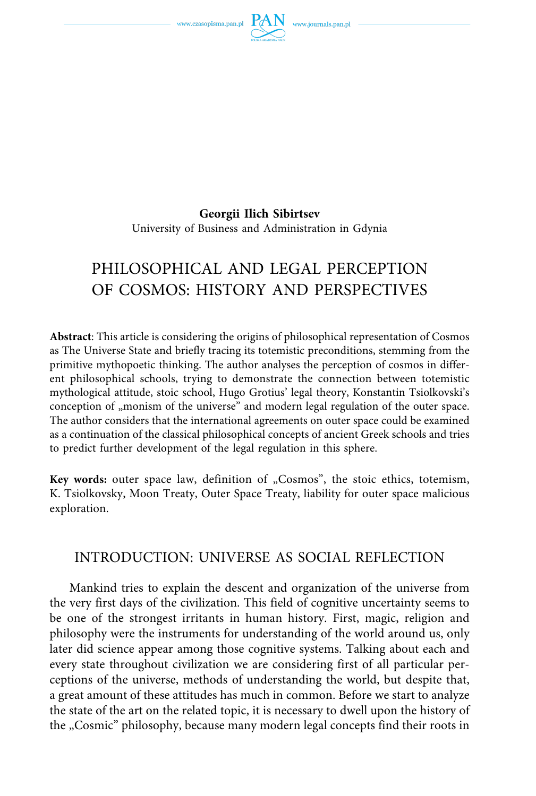www.czasopisma.pan.pl



**Georgii Ilich Sibirtsev**  University of Business and Administration in Gdynia

# PHILOSOPHICAL AND LEGAL PERCEPTION OF COSMOS: HISTORY AND PERSPECTIVES

**Abstract**: This article is considering the origins of philosophical representation of Cosmos as The Universe State and briefly tracing its totemistic preconditions, stemming from the primitive mythopoetic thinking. The author analyses the perception of cosmos in different philosophical schools, trying to demonstrate the connection between totemistic mythological attitude, stoic school, Hugo Grotius' legal theory, Konstantin Tsiolkovski's conception of "monism of the universe" and modern legal regulation of the outer space. The author considers that the international agreements on outer space could be examined as a continuation of the classical philosophical concepts of ancient Greek schools and tries to predict further development of the legal regulation in this sphere.

**Key words:** outer space law, definition of "Cosmos", the stoic ethics, totemism, K. Tsiolkovsky, Moon Treaty, Outer Space Treaty, liability for outer space malicious exploration.

## INTRODUCTION: UNIVERSE AS SOCIAL REFLECTION

Mankind tries to explain the descent and organization of the universe from the very first days of the civilization. This field of cognitive uncertainty seems to be one of the strongest irritants in human history. First, magic, religion and philosophy were the instruments for understanding of the world around us, only later did science appear among those cognitive systems. Talking about each and every state throughout civilization we are considering first of all particular perceptions of the universe, methods of understanding the world, but despite that, a great amount of these attitudes has much in common. Before we start to analyze the state of the art on the related topic, it is necessary to dwell upon the history of the "Cosmic" philosophy, because many modern legal concepts find their roots in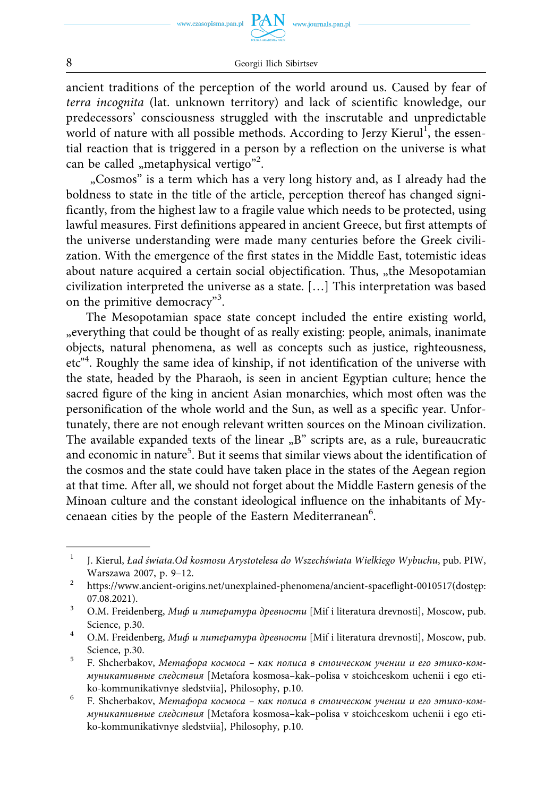

ancient traditions of the perception of the world around us. Caused by fear of *terra incognita* (lat. unknown territory) and lack of scientific knowledge, our predecessors' consciousness struggled with the inscrutable and unpredictable world of nature with all possible methods. According to Jerzy Kierul<sup>1</sup>, the essential reaction that is triggered in a person by a reflection on the universe is what can be called "metaphysical vertigo"<sup>2</sup>.

"Cosmos" is a term which has a very long history and, as I already had the boldness to state in the title of the article, perception thereof has changed significantly, from the highest law to a fragile value which needs to be protected, using lawful measures. First definitions appeared in ancient Greece, but first attempts of the universe understanding were made many centuries before the Greek civilization. With the emergence of the first states in the Middle East, totemistic ideas about nature acquired a certain social objectification. Thus, "the Mesopotamian civilization interpreted the universe as a state. […] This interpretation was based on the primitive democracy"<sup>3</sup>.

The Mesopotamian space state concept included the entire existing world, "everything that could be thought of as really existing: people, animals, inanimate objects, natural phenomena, as well as concepts such as justice, righteousness, etc<sup>"4</sup>. Roughly the same idea of kinship, if not identification of the universe with the state, headed by the Pharaoh, is seen in ancient Egyptian culture; hence the sacred figure of the king in ancient Asian monarchies, which most often was the personification of the whole world and the Sun, as well as a specific year. Unfortunately, there are not enough relevant written sources on the Minoan civilization. The available expanded texts of the linear "B" scripts are, as a rule, bureaucratic and economic in nature<sup>5</sup>. But it seems that similar views about the identification of the cosmos and the state could have taken place in the states of the Aegean region at that time. After all, we should not forget about the Middle Eastern genesis of the Minoan culture and the constant ideological influence on the inhabitants of Mycenaean cities by the people of the Eastern Mediterranean<sup>6</sup>.

<sup>1</sup> J. Kierul, *Ład świata.Od kosmosu Arystotelesa do Wszechświata Wielkiego Wybuchu*, pub. PIW, Warszawa 2007, p. 9–12.<br><sup>2</sup> https://www.ancient-origins.net/unexplained-phenomena/ancient-spaceflight-0010517(dostęp:

<sup>07.08.2021). 3</sup> O.M. Freidenberg, *Миф и литература древности* [Mif i literatura drevnosti], Moscow, pub.

Science, p.30. 4 O.M. Freidenberg, *Миф и литература древности* [Mif i literatura drevnosti], Moscow, pub.

Science, p.30. 5 F. Shcherbakov, *Метафора космоса – как полиса в стоическом учении и его этико-ком-*

*муникативные следствия* [Metafora kosmosa–kak–polisa v stoichceskom uchenii i ego eti-

ko-kommunikativnye sledstviia], Philosophy, p.10. 6 F. Shcherbakov, *Метафора космоса – как полиса в стоическом учении и его этико-коммуникативные следствия* [Metafora kosmosa–kak–polisa v stoichceskom uchenii i ego etiko-kommunikativnye sledstviia], Philosophy, p.10.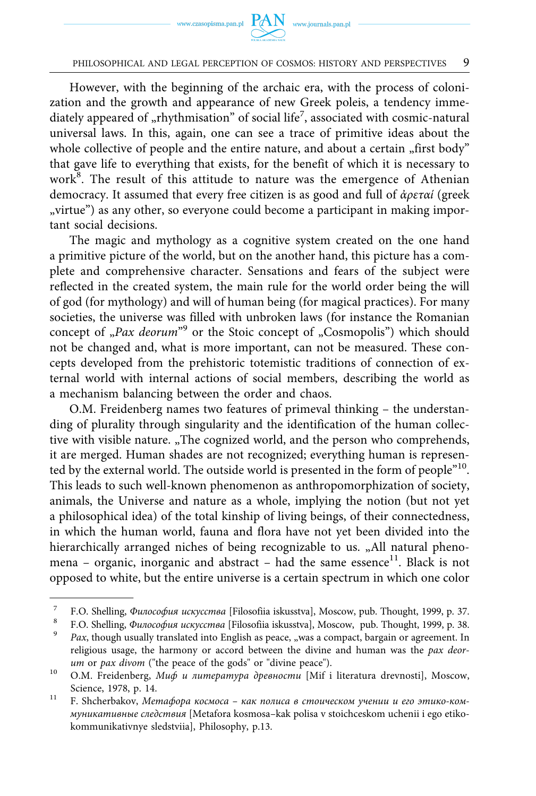However, with the beginning of the archaic era, with the process of colonization and the growth and appearance of new Greek poleis, a tendency immediately appeared of "rhythmisation" of social life<sup>7</sup>, associated with cosmic-natural universal laws. In this, again, one can see a trace of primitive ideas about the whole collective of people and the entire nature, and about a certain "first body" that gave life to everything that exists, for the benefit of which it is necessary to work<sup>8</sup>. The result of this attitude to nature was the emergence of Athenian democracy. It assumed that every free citizen is as good and full of *ἀρεταί* (greek ", virtue") as any other, so everyone could become a participant in making important social decisions.

The magic and mythology as a cognitive system created on the one hand a primitive picture of the world, but on the another hand, this picture has a complete and comprehensive character. Sensations and fears of the subject were reflected in the created system, the main rule for the world order being the will of god (for mythology) and will of human being (for magical practices). For many societies, the universe was filled with unbroken laws (for instance the Romanian concept of "Pax deorum<sup>"9</sup> or the Stoic concept of "Cosmopolis") which should not be changed and, what is more important, can not be measured. These concepts developed from the prehistoric totemistic traditions of connection of external world with internal actions of social members, describing the world as a mechanism balancing between the order and chaos.

O.M. Freidenberg names two features of primeval thinking – the understanding of plurality through singularity and the identification of the human collective with visible nature. "The cognized world, and the person who comprehends, it are merged. Human shades are not recognized; everything human is represented by the external world. The outside world is presented in the form of people"<sup>10</sup>. This leads to such well-known phenomenon as anthropomorphization of society, animals, the Universe and nature as a whole, implying the notion (but not yet a philosophical idea) of the total kinship of living beings, of their connectedness, in which the human world, fauna and flora have not yet been divided into the hierarchically arranged niches of being recognizable to us. "All natural phenomena – organic, inorganic and abstract – had the same essence<sup>11</sup>. Black is not opposed to white, but the entire universe is a certain spectrum in which one color

<sup>7</sup> F.O. Shelling, *Философия искусства* [Filosofiia iskusstva], Moscow, pub. Thought, 1999, p. 37.<br><sup>8</sup> F.O. Shelling, *Философия искусства* [Filosofiia iskusstva], Moscow, pub. Thought, 1999, p. 38.<br><sup>9</sup> *Pax*, though usua

religious usage, the harmony or accord between the divine and human was the *pax deorum* or *pax divom* ("the peace of the gods" or "divine peace"). 10 O.M. Freidenberg, *Миф и литература древности* [Mif i literatura drevnosti], Moscow,

Science, 1978, p. 14.<br><sup>11</sup> F. Shcherbakov, *Метафора космоса – как полиса в стоическом учении и его этико-ком-*

*муникативные следствия* [Metafora kosmosa–kak polisa v stoichceskom uchenii i ego etikokommunikativnye sledstviia], Philosophy, p.13.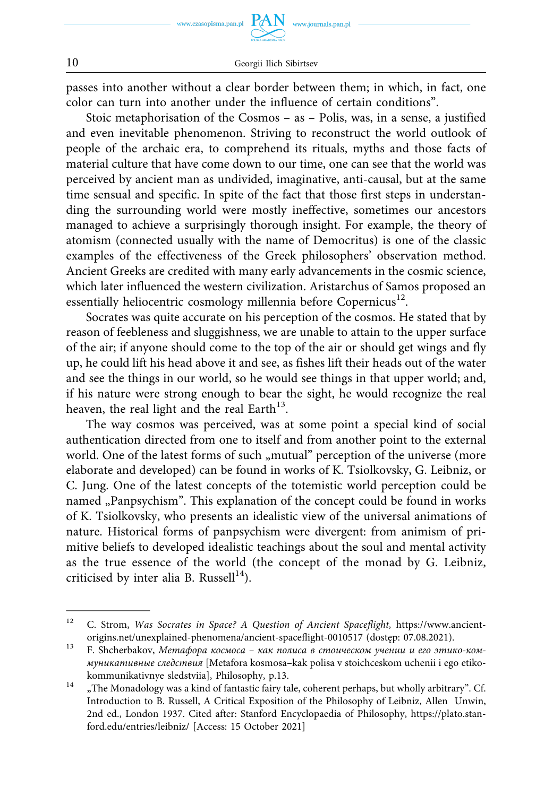passes into another without a clear border between them; in which, in fact, one color can turn into another under the influence of certain conditions".

Stoic metaphorisation of the Cosmos – as – Polis, was, in a sense, a justified and even inevitable phenomenon. Striving to reconstruct the world outlook of people of the archaic era, to comprehend its rituals, myths and those facts of material culture that have come down to our time, one can see that the world was perceived by ancient man as undivided, imaginative, anti-causal, but at the same time sensual and specific. In spite of the fact that those first steps in understanding the surrounding world were mostly ineffective, sometimes our ancestors managed to achieve a surprisingly thorough insight. For example, the theory of atomism (connected usually with the name of Democritus) is one of the classic examples of the effectiveness of the Greek philosophers' observation method. Ancient Greeks are credited with many early advancements in the cosmic science, which later influenced the western civilization. Aristarchus of Samos proposed an essentially heliocentric cosmology millennia before Copernicus<sup>12</sup>.

Socrates was quite accurate on his perception of the cosmos. He stated that by reason of feebleness and sluggishness, we are unable to attain to the upper surface of the air; if anyone should come to the top of the air or should get wings and fly up, he could lift his head above it and see, as fishes lift their heads out of the water and see the things in our world, so he would see things in that upper world; and, if his nature were strong enough to bear the sight, he would recognize the real heaven, the real light and the real Earth $13$ .

The way cosmos was perceived, was at some point a special kind of social authentication directed from one to itself and from another point to the external world. One of the latest forms of such "mutual" perception of the universe (more elaborate and developed) can be found in works of K. Tsiolkovsky, G. Leibniz, or C. Jung. One of the latest concepts of the totemistic world perception could be named "Panpsychism". This explanation of the concept could be found in works of K. Tsiolkovsky, who presents an idealistic view of the universal animations of nature. Historical forms of panpsychism were divergent: from animism of primitive beliefs to developed idealistic teachings about the soul and mental activity as the true essence of the world (the concept of the monad by G. Leibniz, criticised by inter alia B. Russell<sup>14</sup>).

<sup>&</sup>lt;sup>12</sup> C. Strom, *Was Socrates in Space? A Question of Ancient Spaceflight, [https://www.ancient](https://www.ancient-origins.net/unexplained-phenomena/ancient-spaceflight-0010517)*[origins.net/unexplained-phenomena/ancient-spaceflight-0010517](https://www.ancient-origins.net/unexplained-phenomena/ancient-spaceflight-0010517) (dostęp: 07.08.2021). 13 F. Shcherbakov, *Метафора космоса – как полиса в стоическом учении и его этико-ком-*

*муникативные следствия* [Metafora kosmosa–kak polisa v stoichceskom uchenii i ego etikokommunikativnye sledstviia], Philosophy, p.13.<br><sup>14</sup> "The Monadology was a kind of fantastic fairy tale, coherent perhaps, but wholly arbitrary". Cf.

Introduction to B. Russell, A Critical Exposition of the Philosophy of Leibniz, Allen Unwin, 2nd ed., London 1937. Cited after: Stanford Encyclopaedia of Philosophy, [https://plato.stan](https://plato.stanford.edu/entries/leibniz/)[ford.edu/entries/leibniz/](https://plato.stanford.edu/entries/leibniz/) [Access: 15 October 2021]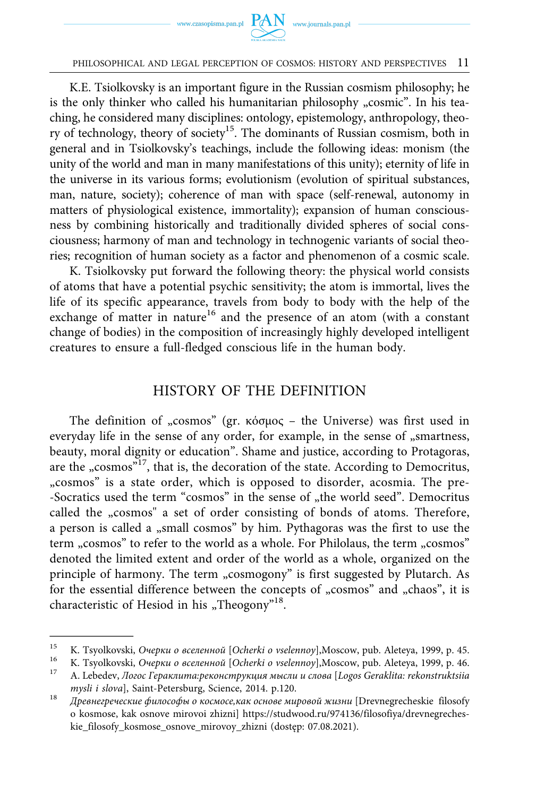

K.E. Tsiolkovsky is an important figure in the Russian cosmism philosophy; he is the only thinker who called his humanitarian philosophy "cosmic". In his teaching, he considered many disciplines: ontology, epistemology, anthropology, theory of technology, theory of society<sup>15</sup>. The dominants of Russian cosmism, both in general and in Tsiolkovsky's teachings, include the following ideas: monism (the unity of the world and man in many manifestations of this unity); eternity of life in the universe in its various forms; evolutionism (evolution of spiritual substances, man, nature, society); coherence of man with space (self-renewal, autonomy in matters of physiological existence, immortality); expansion of human consciousness by combining historically and traditionally divided spheres of social consciousness; harmony of man and technology in technogenic variants of social theories; recognition of human society as a factor and phenomenon of a cosmic scale.

K. Tsiolkovsky put forward the following theory: the physical world consists of atoms that have a potential psychic sensitivity; the atom is immortal, lives the life of its specific appearance, travels from body to body with the help of the exchange of matter in nature<sup>16</sup> and the presence of an atom (with a constant change of bodies) in the composition of increasingly highly developed intelligent creatures to ensure a full-fledged conscious life in the human body.

## HISTORY OF THE DEFINITION

The definition of "cosmos" (gr. κόσμος – the Universe) was first used in everyday life in the sense of any order, for example, in the sense of "smartness, beauty, moral dignity or education". Shame and justice, according to Protagoras, are the "cosmos"<sup>17</sup>, that is, the decoration of the state. According to Democritus, "cosmos" is a state order, which is opposed to disorder, acosmia. The pre--Socratics used the term "cosmos" in the sense of "the world seed". Democritus called the "cosmos" a set of order consisting of bonds of atoms. Therefore, a person is called a "small cosmos" by him. Pythagoras was the first to use the term "cosmos" to refer to the world as a whole. For Philolaus, the term "cosmos" denoted the limited extent and order of the world as a whole, organized on the principle of harmony. The term "cosmogony" is first suggested by Plutarch. As for the essential difference between the concepts of "cosmos" and "chaos", it is characteristic of Hesiod in his "Theogony"<sup>18</sup>.

<sup>&</sup>lt;sup>15</sup> K. Tsyolkovski, *Очерки о вселенной* [Ocherki o vselennoy], Moscow, pub. Aleteya, 1999, p. 45.<br><sup>16</sup> K. Tsyolkovski, *Очерки о вселенной* [Ocherki o vselennoy], Moscow, pub. Aleteya, 1999, p. 46.<br><sup>17</sup> A. Lebedev, *Лог* 

*mysli i slova*], Saint-Petersburg, Science, 2014. p.120. 18 *Древнегреческие философы о космосе,как основе мировой жизни* [Drevnegrecheskie filosofy o kosmose, kak osnove mirovoi zhizni] [https://studwood.ru/974136/filosofiya/drevnegreches](https://studwood.ru/974136/filosofiya/drevnegrecheskie_filosofy_kosmose_osnove_mirovoy_zhizni)[kie\\_filosofy\\_kosmose\\_osnove\\_mirovoy\\_zhizni](https://studwood.ru/974136/filosofiya/drevnegrecheskie_filosofy_kosmose_osnove_mirovoy_zhizni) (dostęp: 07.08.2021).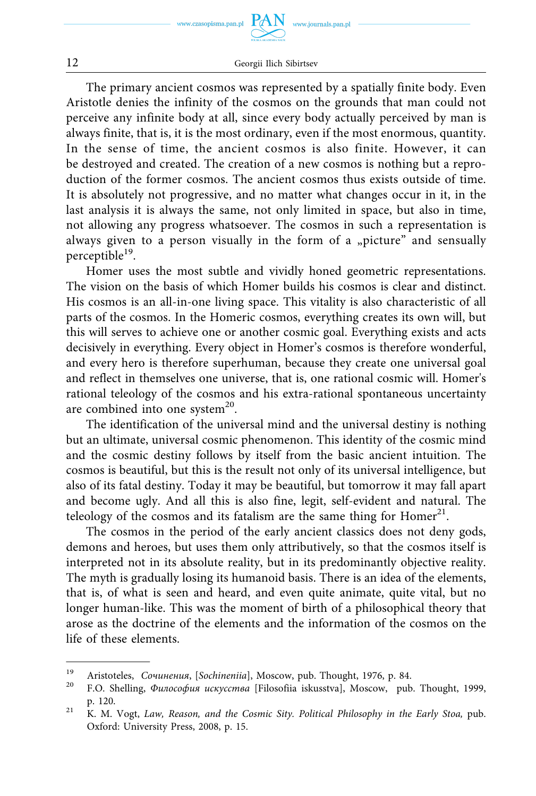

The primary ancient cosmos was represented by a spatially finite body. Even Aristotle denies the infinity of the cosmos on the grounds that man could not perceive any infinite body at all, since every body actually perceived by man is always finite, that is, it is the most ordinary, even if the most enormous, quantity. In the sense of time, the ancient cosmos is also finite. However, it can be destroyed and created. The creation of a new cosmos is nothing but a reproduction of the former cosmos. The ancient cosmos thus exists outside of time. It is absolutely not progressive, and no matter what changes occur in it, in the last analysis it is always the same, not only limited in space, but also in time, not allowing any progress whatsoever. The cosmos in such a representation is always given to a person visually in the form of a "picture" and sensually perceptible<sup>19</sup>.

Homer uses the most subtle and vividly honed geometric representations. The vision on the basis of which Homer builds his cosmos is clear and distinct. His cosmos is an all-in-one living space. This vitality is also characteristic of all parts of the cosmos. In the Homeric cosmos, everything creates its own will, but this will serves to achieve one or another cosmic goal. Everything exists and acts decisively in everything. Every object in Homer's cosmos is therefore wonderful, and every hero is therefore superhuman, because they create one universal goal and reflect in themselves one universe, that is, one rational cosmic will. Homer's rational teleology of the cosmos and his extra-rational spontaneous uncertainty are combined into one system $^{20}$ .

The identification of the universal mind and the universal destiny is nothing but an ultimate, universal cosmic phenomenon. This identity of the cosmic mind and the cosmic destiny follows by itself from the basic ancient intuition. The cosmos is beautiful, but this is the result not only of its universal intelligence, but also of its fatal destiny. Today it may be beautiful, but tomorrow it may fall apart and become ugly. And all this is also fine, legit, self-evident and natural. The teleology of the cosmos and its fatalism are the same thing for Homer<sup>21</sup>.

The cosmos in the period of the early ancient classics does not deny gods, demons and heroes, but uses them only attributively, so that the cosmos itself is interpreted not in its absolute reality, but in its predominantly objective reality. The myth is gradually losing its humanoid basis. There is an idea of the elements, that is, of what is seen and heard, and even quite animate, quite vital, but no longer human-like. This was the moment of birth of a philosophical theory that arose as the doctrine of the elements and the information of the cosmos on the life of these elements.

<sup>19</sup> Aristoteles, *Сочинения*, [*Sochineniia*], Moscow, pub. Thought, 1976, p. 84. 20 F.O. Shelling, *Философия искусства* [Filosofiia iskusstva], Moscow, pub. Thought, 1999, p. 120.<br><sup>21</sup> K. M. Vogt, *Law, Reason, and the Cosmic Sity. Political Philosophy in the Early Stoa, pub.* 

Oxford: University Press, 2008, p. 15.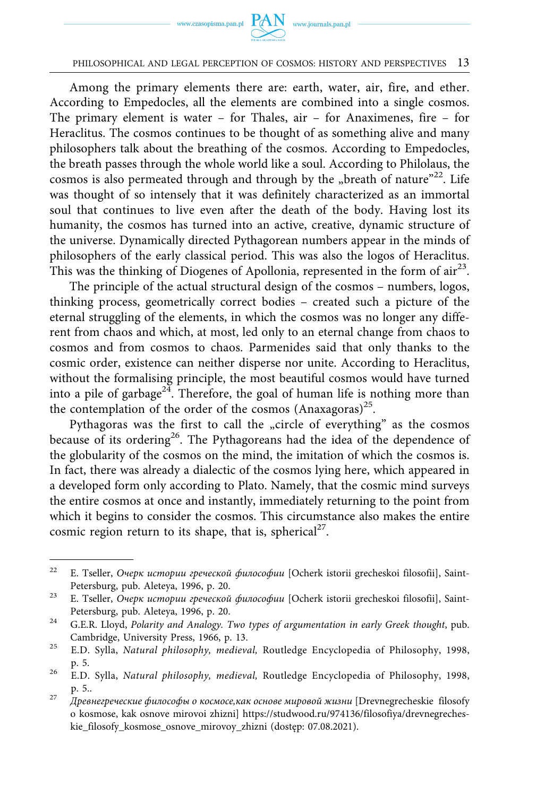

Among the primary elements there are: earth, water, air, fire, and ether. According to Empedocles, all the elements are combined into a single cosmos. The primary element is water – for Thales, air – for Anaximenes, fire – for Heraclitus. The cosmos continues to be thought of as something alive and many philosophers talk about the breathing of the cosmos. According to Empedocles, the breath passes through the whole world like a soul. According to Philolaus, the cosmos is also permeated through and through by the "breath of nature"<sup>22</sup>. Life was thought of so intensely that it was definitely characterized as an immortal soul that continues to live even after the death of the body. Having lost its humanity, the cosmos has turned into an active, creative, dynamic structure of the universe. Dynamically directed Pythagorean numbers appear in the minds of philosophers of the early classical period. This was also the logos of Heraclitus. This was the thinking of Diogenes of Apollonia, represented in the form of  $\arctan^{23}$ .

The principle of the actual structural design of the cosmos – numbers, logos, thinking process, geometrically correct bodies – created such a picture of the eternal struggling of the elements, in which the cosmos was no longer any different from chaos and which, at most, led only to an eternal change from chaos to cosmos and from cosmos to chaos. Parmenides said that only thanks to the cosmic order, existence can neither disperse nor unite. According to Heraclitus, without the formalising principle, the most beautiful cosmos would have turned into a pile of garbage<sup>24</sup>. Therefore, the goal of human life is nothing more than the contemplation of the order of the cosmos  $(Anaxagoras)^{25}$ .

Pythagoras was the first to call the "circle of everything" as the cosmos because of its ordering<sup>26</sup>. The Pythagoreans had the idea of the dependence of the globularity of the cosmos on the mind, the imitation of which the cosmos is. In fact, there was already a dialectic of the cosmos lying here, which appeared in a developed form only according to Plato. Namely, that the cosmic mind surveys the entire cosmos at once and instantly, immediately returning to the point from which it begins to consider the cosmos. This circumstance also makes the entire cosmic region return to its shape, that is, spherical<sup>27</sup>.

<sup>22</sup> E. Tseller, *Очерк истории греческой философии* [Ocherk istorii grecheskoi filosofii], Saint-Petersburg, pub. Aleteya, 1996, p. 20. 23 E. Tseller, *Очерк истории греческой философии* [Ocherk istorii grecheskoi filosofii], Saint-

Petersburg, pub. Aleteya, 1996, p. 20. 24 G.E.R. Lloyd, *Polarity and Analogy. Two types of argumentation in early Greek thought*, pub.

Cambridge, University Press, 1966, p. 13. 25 E.D. Sylla, *Natural philosophy, medieval,* Routledge Encyclopedia of Philosophy, 1998,

p. 5. 26 E.D. Sylla, *Natural philosophy, medieval,* Routledge Encyclopedia of Philosophy, 1998,

p. 5.. 27 *Древнегреческие философы о космосе,как основе мировой жизни* [Drevnegrecheskie filosofy

o kosmose, kak osnove mirovoi zhizni] [https://studwood.ru/974136/filosofiya/drevnegreches](https://studwood.ru/974136/filosofiya/drevnegrecheskie_filosofy_kosmose_osnove_mirovoy_zhizni)[kie\\_filosofy\\_kosmose\\_osnove\\_mirovoy\\_zhizni](https://studwood.ru/974136/filosofiya/drevnegrecheskie_filosofy_kosmose_osnove_mirovoy_zhizni) (dostep: 07.08.2021).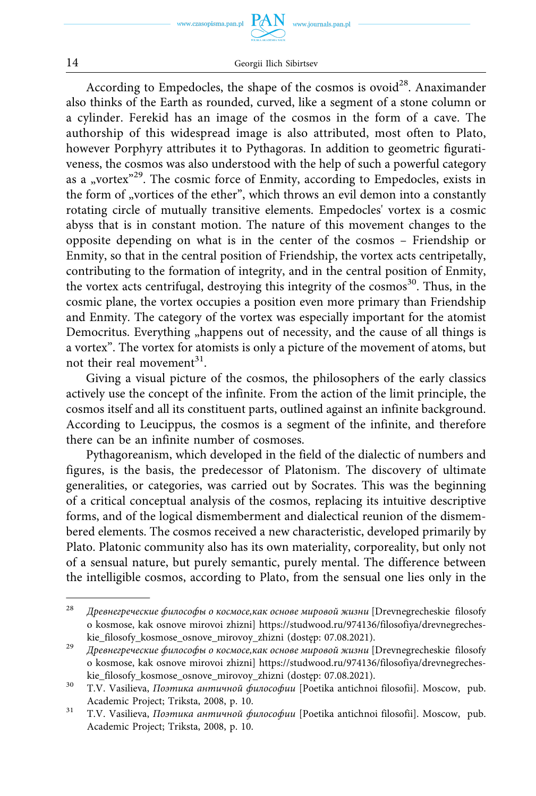

According to Empedocles, the shape of the cosmos is ovoid<sup>28</sup>. Anaximander also thinks of the Earth as rounded, curved, like a segment of a stone column or a cylinder. Ferekid has an image of the cosmos in the form of a cave. The authorship of this widespread image is also attributed, most often to Plato, however Porphyry attributes it to Pythagoras. In addition to geometric figurativeness, the cosmos was also understood with the help of such a powerful category as a "vortex $n^{29}$ . The cosmic force of Enmity, according to Empedocles, exists in the form of "vortices of the ether", which throws an evil demon into a constantly rotating circle of mutually transitive elements. Empedocles' vortex is a cosmic abyss that is in constant motion. The nature of this movement changes to the opposite depending on what is in the center of the cosmos – Friendship or Enmity, so that in the central position of Friendship, the vortex acts centripetally, contributing to the formation of integrity, and in the central position of Enmity, the vortex acts centrifugal, destroying this integrity of the  $cosmos<sup>30</sup>$ . Thus, in the cosmic plane, the vortex occupies a position even more primary than Friendship and Enmity. The category of the vortex was especially important for the atomist Democritus. Everything "happens out of necessity, and the cause of all things is a vortex". The vortex for atomists is only a picture of the movement of atoms, but not their real movement $31$ .

Giving a visual picture of the cosmos, the philosophers of the early classics actively use the concept of the infinite. From the action of the limit principle, the cosmos itself and all its constituent parts, outlined against an infinite background. According to Leucippus, the cosmos is a segment of the infinite, and therefore there can be an infinite number of cosmoses.

Pythagoreanism, which developed in the field of the dialectic of numbers and figures, is the basis, the predecessor of Platonism. The discovery of ultimate generalities, or categories, was carried out by Socrates. This was the beginning of a critical conceptual analysis of the cosmos, replacing its intuitive descriptive forms, and of the logical dismemberment and dialectical reunion of the dismembered elements. The cosmos received a new characteristic, developed primarily by Plato. Platonic community also has its own materiality, corporeality, but only not of a sensual nature, but purely semantic, purely mental. The difference between the intelligible cosmos, according to Plato, from the sensual one lies only in the

<sup>&</sup>lt;sup>28</sup> Древнегреческие философы о космосе, как основе мировой жизни [Drevnegrecheskie filosofy o kosmose, kak osnove mirovoi zhizni] [https://studwood.ru/974136/filosofiya/drevnegreches](https://studwood.ru/974136/filosofiya/drevnegrecheskie_filosofy_kosmose_osnove_mirovoy_zhizni)[kie\\_filosofy\\_kosmose\\_osnove\\_mirovoy\\_zhizni](https://studwood.ru/974136/filosofiya/drevnegrecheskie_filosofy_kosmose_osnove_mirovoy_zhizni) (dostęp: 07.08.2021). 29 *Древнегреческие философы о космосе,как основе мировой жизни* [Drevnegrecheskie filosofy

o kosmose, kak osnove mirovoi zhizni] [https://studwood.ru/974136/filosofiya/drevnegreches](https://studwood.ru/974136/filosofiya/drevnegrecheskie_filosofy_kosmose_osnove_mirovoy_zhizni)[kie\\_filosofy\\_kosmose\\_osnove\\_mirovoy\\_zhizni](https://studwood.ru/974136/filosofiya/drevnegrecheskie_filosofy_kosmose_osnove_mirovoy_zhizni) (dostęp: 07.08.2021). 30 T.V. Vasilieva, *Поэтика античной философии* [Poetika antichnoi filosofii]. Moscow, pub.

Academic Project; Triksta, 2008, p. 10. 31 T.V. Vasilieva, *Поэтика античной философии* [Poetika antichnoi filosofii]. Moscow, pub.

Academic Project; Triksta, 2008, p. 10.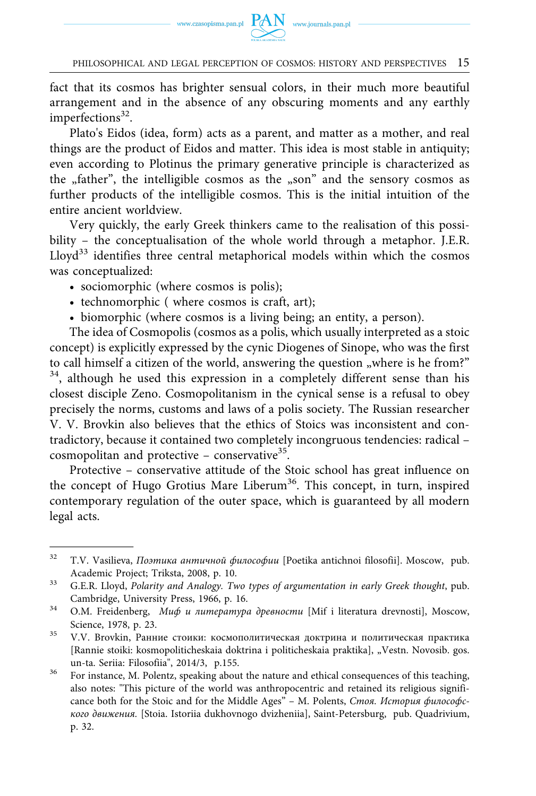

fact that its cosmos has brighter sensual colors, in their much more beautiful arrangement and in the absence of any obscuring moments and any earthly imperfections $32$ .

Plato's Eidos (idea, form) acts as a parent, and matter as a mother, and real things are the product of Eidos and matter. This idea is most stable in antiquity; even according to Plotinus the primary generative principle is characterized as the "father", the intelligible cosmos as the "son" and the sensory cosmos as further products of the intelligible cosmos. This is the initial intuition of the entire ancient worldview.

Very quickly, the early Greek thinkers came to the realisation of this possibility – the conceptualisation of the whole world through a metaphor. J.E.R.  $Lloyd^{33}$  identifies three central metaphorical models within which the cosmos was conceptualized:

- sociomorphic (where cosmos is polis);
- technomorphic ( where cosmos is craft, art);
- biomorphic (where cosmos is a living being; an entity, a person).

The idea of Cosmopolis (cosmos as a polis, which usually interpreted as a stoic concept) is explicitly expressed by the cynic Diogenes of Sinope, who was the first to call himself a citizen of the world, answering the question "where is he from?" <sup>34</sup>, although he used this expression in a completely different sense than his closest disciple Zeno. Cosmopolitanism in the cynical sense is a refusal to obey precisely the norms, customs and laws of a polis society. The Russian researcher V. V. Brovkin also believes that the ethics of Stoics was inconsistent and contradictory, because it contained two completely incongruous tendencies: radical – cosmopolitan and protective – conservative<sup>35</sup>.

Protective – conservative attitude of the Stoic school has great influence on the concept of Hugo Grotius Mare Liberum<sup>36</sup>. This concept, in turn, inspired contemporary regulation of the outer space, which is guaranteed by all modern legal acts.

<sup>32</sup> T.V. Vasilieva, *Поэтика античной философии* [Poetika antichnoi filosofii]. Moscow, pub. Academic Project; Triksta, 2008, p. 10.<br><sup>33</sup> G.E.R. Lloyd, *Polarity and Analogy. Two types of argumentation in early Greek thought*, pub.

Cambridge, University Press, 1966, p. 16. 34 O.M. Freidenberg, *Миф и литература древности* [Mif i literatura drevnosti], Moscow,

Science, 1978, p. 23. 35 V.V. Brovkin, Ранние стоики: космополитическая доктрина и политическая практика

<sup>[</sup>Rannie stoiki: kosmopoliticheskaia doktrina i politicheskaia praktika], "Vestn. Novosib. gos. un-ta. Seriia: Filosofiia", 2014/3, p.155.<br><sup>36</sup> For instance, M. Polentz, speaking about the nature and ethical consequences of this teaching,

also notes: "This picture of the world was anthropocentric and retained its religious significance both for the Stoic and for the Middle Ages" – M. Polents, *Стоя. История философского движения.* [Stoia. Istoriia dukhovnogo dvizheniia], Saint-Petersburg, pub. Quadrivium, p. 32.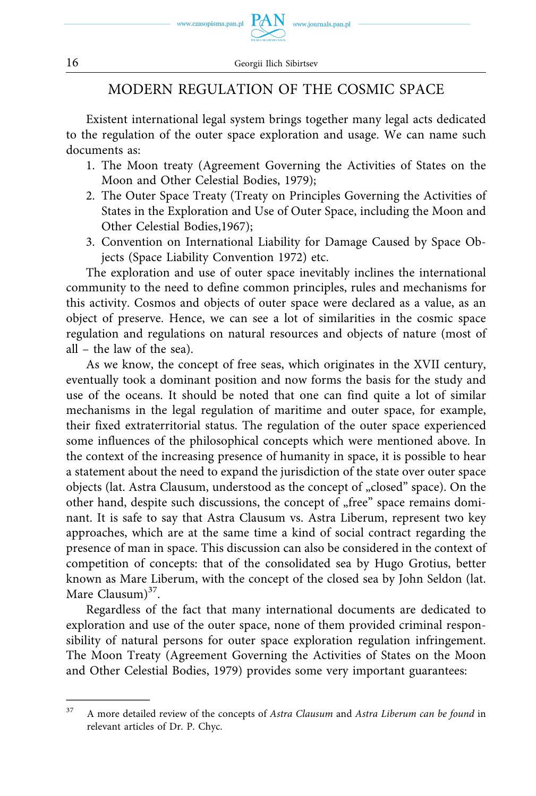

## MODERN REGULATION OF THE COSMIC SPACE

Existent international legal system brings together many legal acts dedicated to the regulation of the outer space exploration and usage. We can name such documents as:

- 1. The Moon treaty (Agreement Governing the Activities of States on the Moon and Other Celestial Bodies, 1979);
- 2. The Outer Space Treaty (Treaty on Principles Governing the Activities of States in the Exploration and Use of Outer Space, including the Moon and Other Celestial Bodies,1967);
- 3. Convention on International Liability for Damage Caused by Space Objects (Space Liability Convention 1972) etc.

The exploration and use of outer space inevitably inclines the international community to the need to define common principles, rules and mechanisms for this activity. Cosmos and objects of outer space were declared as a value, as an object of preserve. Hence, we can see a lot of similarities in the cosmic space regulation and regulations on natural resources and objects of nature (most of all – the law of the sea).

As we know, the concept of free seas, which originates in the XVII century, eventually took a dominant position and now forms the basis for the study and use of the oceans. It should be noted that one can find quite a lot of similar mechanisms in the legal regulation of maritime and outer space, for example, their fixed extraterritorial status. The regulation of the outer space experienced some influences of the philosophical concepts which were mentioned above. In the context of the increasing presence of humanity in space, it is possible to hear a statement about the need to expand the jurisdiction of the state over outer space objects (lat. Astra Clausum, understood as the concept of "closed" space). On the other hand, despite such discussions, the concept of "free" space remains dominant. It is safe to say that Astra Clausum vs. Astra Liberum, represent two key approaches, which are at the same time a kind of social contract regarding the presence of man in space. This discussion can also be considered in the context of competition of concepts: that of the consolidated sea by Hugo Grotius, better known as Mare Liberum, with the concept of the closed sea by John Seldon (lat. Mare Clausum $)^{37}$ .

Regardless of the fact that many international documents are dedicated to exploration and use of the outer space, none of them provided criminal responsibility of natural persons for outer space exploration regulation infringement. The Moon Treaty (Agreement Governing the Activities of States on the Moon and Other Celestial Bodies, 1979) provides some very important guarantees:

<sup>37</sup> A more detailed review of the concepts of *Astra Clausum* and *Astra Liberum can be found* in relevant articles of Dr. P. Chyc.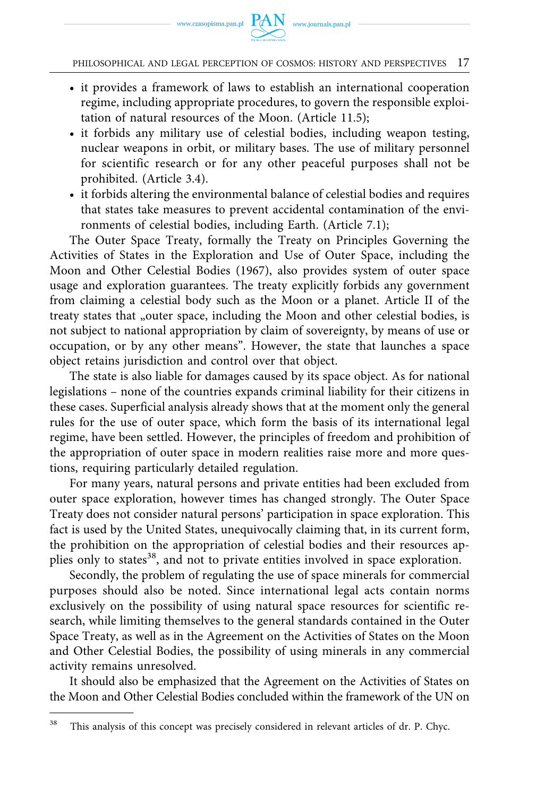- it provides a framework of laws to establish an international cooperation regime, including appropriate procedures, to govern the responsible exploitation of natural resources of the Moon. (Article 11.5);
- it forbids any military use of celestial bodies, including weapon testing, nuclear weapons in orbit, or military bases. The use of military personnel for scientific research or for any other peaceful purposes shall not be prohibited. (Article 3.4).
- it forbids altering the environmental balance of celestial bodies and requires that states take measures to prevent accidental contamination of the environments of celestial bodies, including Earth. (Article 7.1);

The Outer Space Treaty, formally the Treaty on Principles Governing the Activities of States in the Exploration and Use of Outer Space, including the Moon and Other Celestial Bodies (1967), also provides system of outer space usage and exploration guarantees. The treaty explicitly forbids any government from claiming a celestial body such as the Moon or a planet. Article II of the treaty states that "outer space, including the Moon and other celestial bodies, is not subject to national appropriation by claim of sovereignty, by means of use or occupation, or by any other means". However, the state that launches a space object retains jurisdiction and control over that object.

The state is also liable for damages caused by its space object. As for national legislations – none of the countries expands criminal liability for their citizens in these cases. Superficial analysis already shows that at the moment only the general rules for the use of outer space, which form the basis of its international legal regime, have been settled. However, the principles of freedom and prohibition of the appropriation of outer space in modern realities raise more and more questions, requiring particularly detailed regulation.

For many years, natural persons and private entities had been excluded from outer space exploration, however times has changed strongly. The Outer Space Treaty does not consider natural persons' participation in space exploration. This fact is used by the United States, unequivocally claiming that, in its current form, the prohibition on the appropriation of celestial bodies and their resources applies only to states<sup>38</sup>, and not to private entities involved in space exploration.

Secondly, the problem of regulating the use of space minerals for commercial purposes should also be noted. Since international legal acts contain norms exclusively on the possibility of using natural space resources for scientific research, while limiting themselves to the general standards contained in the Outer Space Treaty, as well as in the Agreement on the Activities of States on the Moon and Other Celestial Bodies, the possibility of using minerals in any commercial activity remains unresolved.

It should also be emphasized that the Agreement on the Activities of States on the Moon and Other Celestial Bodies concluded within the framework of the UN on

<sup>&</sup>lt;sup>38</sup> This analysis of this concept was precisely considered in relevant articles of dr. P. Chyc.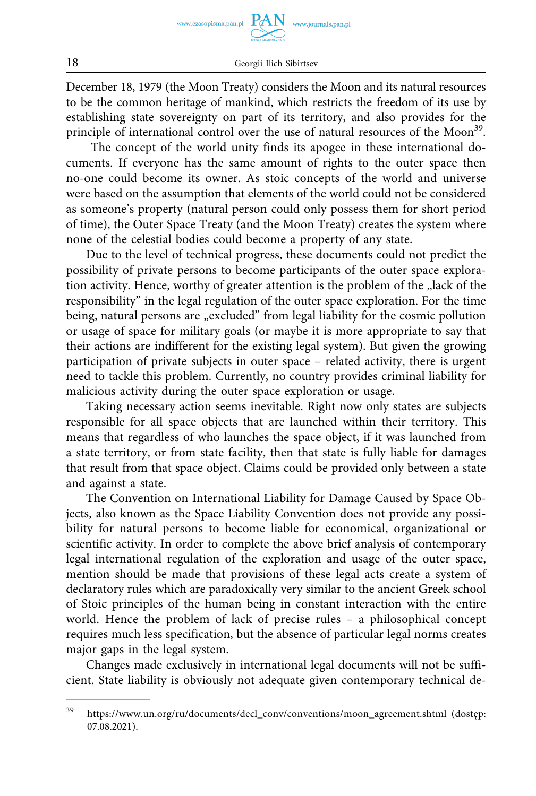December 18, 1979 (the Moon Treaty) considers the Moon and its natural resources to be the common heritage of mankind, which restricts the freedom of its use by establishing state sovereignty on part of its territory, and also provides for the principle of international control over the use of natural resources of the Moon<sup>39</sup>.

The concept of the world unity finds its apogee in these international documents. If everyone has the same amount of rights to the outer space then no-one could become its owner. As stoic concepts of the world and universe were based on the assumption that elements of the world could not be considered as someone's property (natural person could only possess them for short period of time), the Outer Space Treaty (and the Moon Treaty) creates the system where none of the celestial bodies could become a property of any state.

Due to the level of technical progress, these documents could not predict the possibility of private persons to become participants of the outer space exploration activity. Hence, worthy of greater attention is the problem of the "lack of the responsibility" in the legal regulation of the outer space exploration. For the time being, natural persons are "excluded" from legal liability for the cosmic pollution or usage of space for military goals (or maybe it is more appropriate to say that their actions are indifferent for the existing legal system). But given the growing participation of private subjects in outer space – related activity, there is urgent need to tackle this problem. Currently, no country provides criminal liability for malicious activity during the outer space exploration or usage.

Taking necessary action seems inevitable. Right now only states are subjects responsible for all space objects that are launched within their territory. This means that regardless of who launches the space object, if it was launched from a state territory, or from state facility, then that state is fully liable for damages that result from that space object. Claims could be provided only between a state and against a state.

The Convention on International Liability for Damage Caused by Space Objects, also known as the Space Liability Convention does not provide any possibility for natural persons to become liable for economical, organizational or scientific activity. In order to complete the above brief analysis of contemporary legal international regulation of the exploration and usage of the outer space, mention should be made that provisions of these legal acts create a system of declaratory rules which are paradoxically very similar to the ancient Greek school of Stoic principles of the human being in constant interaction with the entire world. Hence the problem of lack of precise rules – a philosophical concept requires much less specification, but the absence of particular legal norms creates major gaps in the legal system.

Changes made exclusively in international legal documents will not be sufficient. State liability is obviously not adequate given contemporary technical de-

<sup>39</sup> [https://www.un.org/ru/documents/decl\\_conv/conventions/moon\\_agreement.shtml \(dostęp:](�� h t t p s : / / w w w . u n . o r g / r u / d o c u m e n t s / d e c l _ c o n v / c o n v e n t i o n s / m o o n _ a g r e e m e n t . s h t m l ( d o s t p :)  07.08.2021).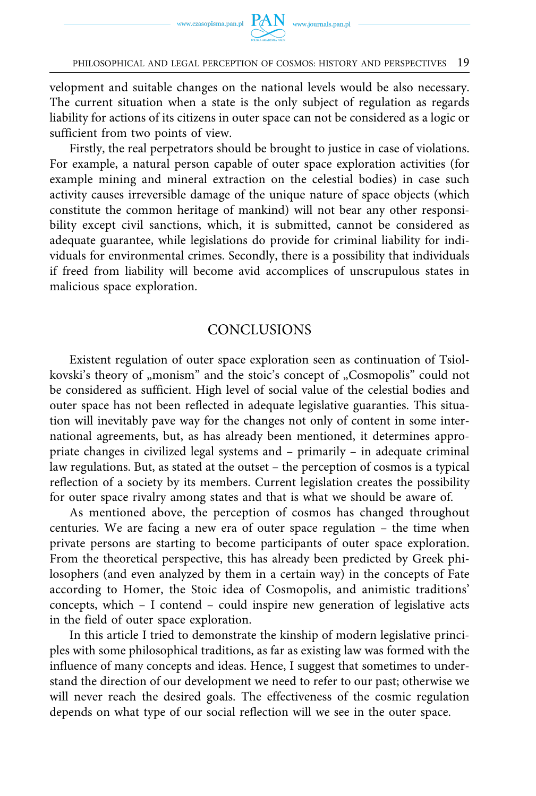

velopment and suitable changes on the national levels would be also necessary. The current situation when a state is the only subject of regulation as regards liability for actions of its citizens in outer space can not be considered as a logic or sufficient from two points of view.

Firstly, the real perpetrators should be brought to justice in case of violations. For example, a natural person capable of outer space exploration activities (for example mining and mineral extraction on the celestial bodies) in case such activity causes irreversible damage of the unique nature of space objects (which constitute the common heritage of mankind) will not bear any other responsibility except civil sanctions, which, it is submitted, cannot be considered as adequate guarantee, while legislations do provide for criminal liability for individuals for environmental crimes. Secondly, there is a possibility that individuals if freed from liability will become avid accomplices of unscrupulous states in malicious space exploration.

## CONCLUSIONS

Existent regulation of outer space exploration seen as continuation of Tsiolkovski's theory of "monism" and the stoic's concept of "Cosmopolis" could not be considered as sufficient. High level of social value of the celestial bodies and outer space has not been reflected in adequate legislative guaranties. This situation will inevitably pave way for the changes not only of content in some international agreements, but, as has already been mentioned, it determines appropriate changes in civilized legal systems and – primarily – in adequate criminal law regulations. But, as stated at the outset – the perception of cosmos is a typical reflection of a society by its members. Current legislation creates the possibility for outer space rivalry among states and that is what we should be aware of.

As mentioned above, the perception of cosmos has changed throughout centuries. We are facing a new era of outer space regulation – the time when private persons are starting to become participants of outer space exploration. From the theoretical perspective, this has already been predicted by Greek philosophers (and even analyzed by them in a certain way) in the concepts of Fate according to Homer, the Stoic idea of Cosmopolis, and animistic traditions' concepts, which – I contend – could inspire new generation of legislative acts in the field of outer space exploration.

In this article I tried to demonstrate the kinship of modern legislative principles with some philosophical traditions, as far as existing law was formed with the influence of many concepts and ideas. Hence, I suggest that sometimes to understand the direction of our development we need to refer to our past; otherwise we will never reach the desired goals. The effectiveness of the cosmic regulation depends on what type of our social reflection will we see in the outer space.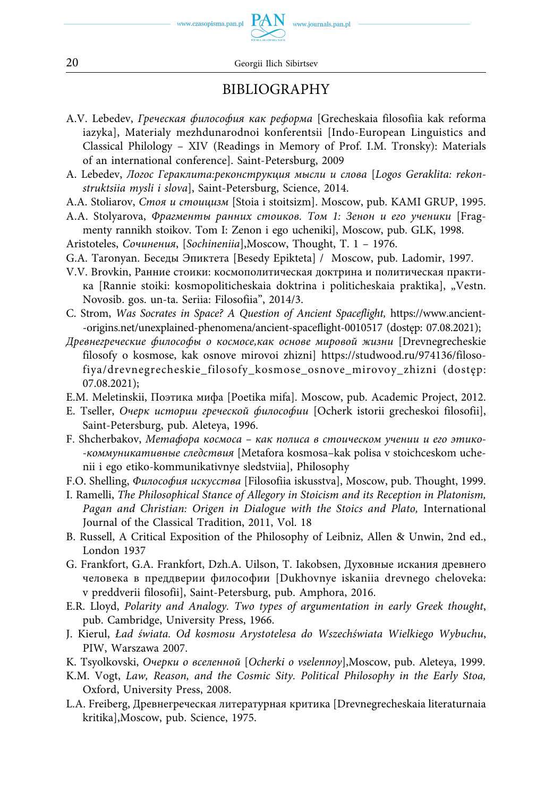

## BIBLIOGRAPHY

- A.V. Lebedev, *Греческая философия как реформа* [Grecheskaia filosofiia kak reforma iazyka], Materialy mezhdunarodnoi konferentsii [Indo-European Linguistics and Classical Philology – XIV (Readings in Memory of Prof. I.M. Tronsky): Materials of an international conference]. Saint-Petersburg, 2009
- A. Lebedev, *Логос Гераклита:реконструкция мысли и слова* [*Logos Geraklita: rekonstruktsiia mysli i slova*], Saint-Petersburg, Science, 2014.
- A.A. Stoliarov, *Стоя и стоицизм* [Stoia i stoitsizm]. Moscow, pub. KAMI GRUP, 1995.
- A.A. Stolyarova, *Фрагменты ранних стоиков. Том 1: Зенон и его ученики* [Fragmenty rannikh stoikov. Tom I: Zenon i ego ucheniki], Moscow, pub. GLK, 1998.
- Aristoteles, *Сочинения*, [*Sochineniia*],Moscow, Thought, T. 1 1976.
- G.A. Taronyan. Беседы Эпиктета [Besedy Epikteta] / Moscow, pub. Ladomir, 1997.
- V.V. Brovkin, Ранние стоики: космополитическая доктрина и политическая практика [Rannie stoiki: kosmopoliticheskaia doktrina i politicheskaia praktika], "Vestn. Novosib. gos. un-ta. Seriia: Filosofiia", 2014/3.
- C. Strom, *Was Socrates in Space? A Question of Ancient Spaceflight,* [https://www.ancient-](https://www.ancient-origins.net/unexplained-phenomena/ancient-spaceflight-0010517) [-origins.net/unexplained-phenomena/ancient-spaceflight-0010517](https://www.ancient-origins.net/unexplained-phenomena/ancient-spaceflight-0010517) (dostęp: 07.08.2021);
- *Древнегреческие философы о космосе,как основе мировой жизни* [Drevnegrecheskie filosofy o kosmose, kak osnove mirovoi zhizni] [https://studwood.ru/974136/filoso](https://studwood.ru/974136/filosofiya/drevnegrecheskie_filosofy_kosmose_osnove_mirovoy_zhizni)[fiya/drevnegrecheskie\\_filosofy\\_kosmose\\_osnove\\_mirovoy\\_zhizni](https://studwood.ru/974136/filosofiya/drevnegrecheskie_filosofy_kosmose_osnove_mirovoy_zhizni) (dostęp: 07.08.2021);
- E.M. Meletinskii, Поэтика мифа [Poetika mifa]. Moscow, pub. Academic Project, 2012.
- E. Tseller, *Очерк истории греческой философии* [Ocherk istorii grecheskoi filosofii], Saint-Petersburg, pub. Aleteya, 1996.
- F. Shcherbakov, *Метафора космоса как полиса в стоическом учении и его этико- -коммуникативные следствия* [Metafora kosmosa–kak polisa v stoichceskom uchenii i ego etiko-kommunikativnye sledstviia], Philosophy
- F.O. Shelling, *Философия искусства* [Filosofiia iskusstva], Moscow, pub. Thought, 1999.
- I. Ramelli, *The Philosophical Stance of Allegory in Stoicism and its Reception in Platonism,*  Pagan and Christian: Origen in Dialogue with the Stoics and Plato, International Journal of the Classical Tradition, 2011, Vol. 18
- B. Russell, A Critical Exposition of the Philosophy of Leibniz, Allen & Unwin, 2nd ed., London 1937
- G. Frankfort, G.A. Frankfort, Dzh.A. Uilson, T. Iakobsen, Духовные искания древнего человека в преддверии философии [Dukhovnye iskaniia drevnego cheloveka: v preddverii filosofii], Saint-Petersburg, pub. Amphora, 2016.
- E.R. Lloyd, *Polarity and Analogy. Two types of argumentation in early Greek thought*, pub. Cambridge, University Press, 1966.
- J. Kierul, *Ład świata. Od kosmosu Arystotelesa do Wszechświata Wielkiego Wybuchu*, PIW, Warszawa 2007.
- K. Tsyolkovski, *Очерки о вселенной* [*Ocherki o vselennoy*],Moscow, pub. Aleteya, 1999.
- K.M. Vogt, *Law, Reason, and the Cosmic Sity. Political Philosophy in the Early Stoa,*  Oxford, University Press, 2008.
- L.A. Freiberg, Древнегреческая литературная критика [Drevnegrecheskaia literaturnaia kritika],Moscow, pub. Science, 1975.